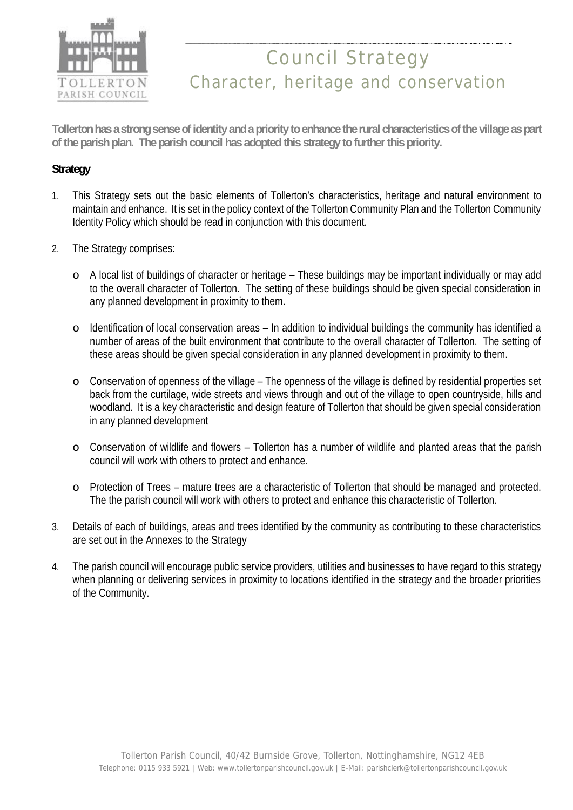

# Council Strategy Character, heritage and conservation

**Tollerton has a strong sense of identity and a priority to enhance the rural characteristics of the village as part of the parish plan. The parish council has adopted this strategy to further this priority.**

### **Strategy**

- 1. This Strategy sets out the basic elements of Tollerton's characteristics, heritage and natural environment to maintain and enhance. It is set in the policy context of the Tollerton Community Plan and the Tollerton Community Identity Policy which should be read in conjunction with this document.
- 2. The Strategy comprises:
	- o A local list of buildings of character or heritage These buildings may be important individually or may add to the overall character of Tollerton. The setting of these buildings should be given special consideration in any planned development in proximity to them.
	- o Identification of local conservation areas In addition to individual buildings the community has identified a number of areas of the built environment that contribute to the overall character of Tollerton. The setting of these areas should be given special consideration in any planned development in proximity to them.
	- o Conservation of openness of the village The openness of the village is defined by residential properties set back from the curtilage, wide streets and views through and out of the village to open countryside, hills and woodland. It is a key characteristic and design feature of Tollerton that should be given special consideration in any planned development
	- o Conservation of wildlife and flowers Tollerton has a number of wildlife and planted areas that the parish council will work with others to protect and enhance.
	- o Protection of Trees mature trees are a characteristic of Tollerton that should be managed and protected. The the parish council will work with others to protect and enhance this characteristic of Tollerton.
- 3. Details of each of buildings, areas and trees identified by the community as contributing to these characteristics are set out in the Annexes to the Strategy
- 4. The parish council will encourage public service providers, utilities and businesses to have regard to this strategy when planning or delivering services in proximity to locations identified in the strategy and the broader priorities of the Community.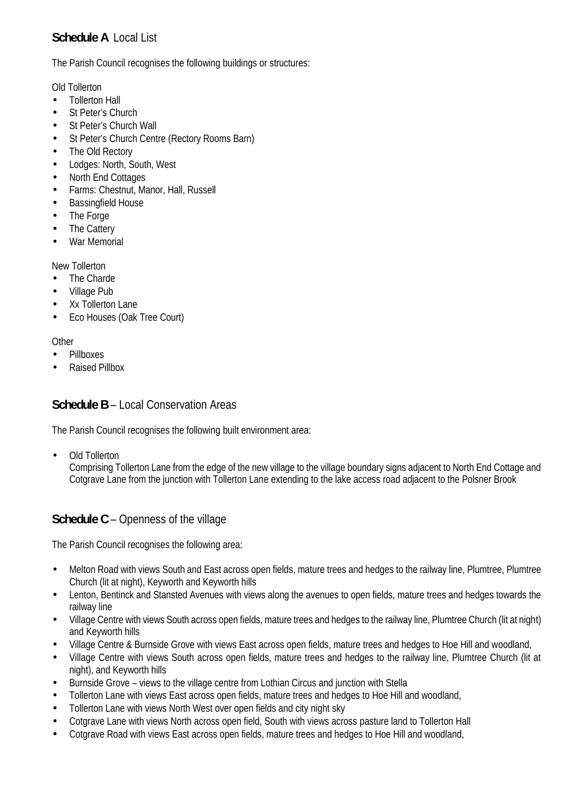# **Schedule A** Local List

The Parish Council recognises the following buildings or structures:

Old Tollerton

- Tollerton Hall
- St Peter's Church
- St Peter's Church Wall
- St Peter's Church Centre (Rectory Rooms Barn)
- The Old Rectory
- Lodges: North, South, West
- North End Cottages
- Farms: Chestnut, Manor, Hall, Russell
- Bassingfield House
- The Forge
- The Cattery
- War Memorial

New Tollerton

- The Charde
- Village Pub
- Xx Tollerton Lane
- Eco Houses (Oak Tree Court)

**Other** 

- Pillboxes
- Raised Pillbox

## **Schedule B** – Local Conservation Areas

The Parish Council recognises the following built environment area:

Old Tollerton

Comprising Tollerton Lane from the edge of the new village to the village boundary signs adjacent to North End Cottage and Cotgrave Lane from the junction with Tollerton Lane extending to the lake access road adjacent to the Polsner Brook

## **Schedule C** – Openness of the village

The Parish Council recognises the following area:

- Melton Road with views South and East across open fields, mature trees and hedges to the railway line, Plumtree, Plumtree Church (lit at night), Keyworth and Keyworth hills
- Lenton, Bentinck and Stansted Avenues with views along the avenues to open fields, mature trees and hedges towards the railway line
- Village Centre with views South across open fields, mature trees and hedges to the railway line, Plumtree Church (lit at night) and Keyworth hills
- Village Centre & Burnside Grove with views East across open fields, mature trees and hedges to Hoe Hill and woodland,
- Village Centre with views South across open fields, mature trees and hedges to the railway line, Plumtree Church (lit at night), and Keyworth hills
- Burnside Grove views to the village centre from Lothian Circus and junction with Stella
- Tollerton Lane with views East across open fields, mature trees and hedges to Hoe Hill and woodland,
- Tollerton Lane with views North West over open fields and city night sky
- Cotgrave Lane with views North across open field, South with views across pasture land to Tollerton Hall
- Cotgrave Road with views East across open fields, mature trees and hedges to Hoe Hill and woodland,